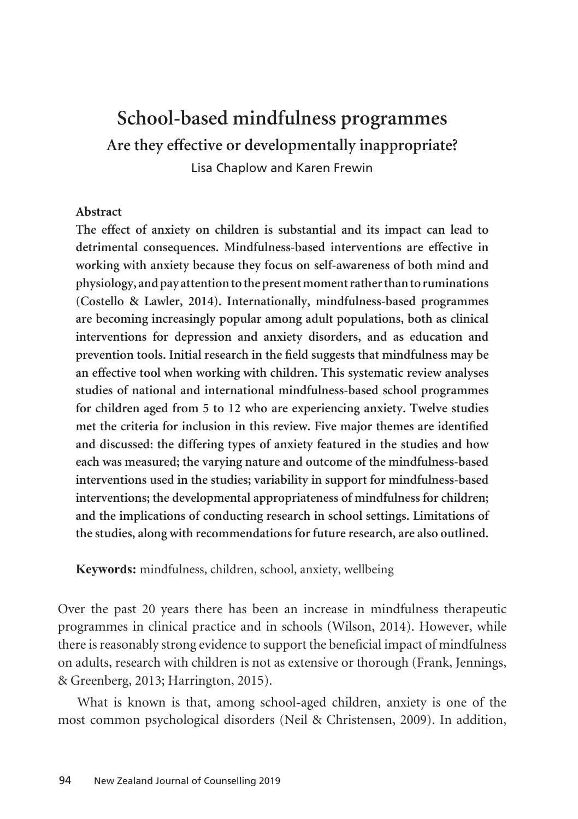# **School-based mindfulness programmes Are they effective or developmentally inappropriate?** Lisa Chaplow and Karen Frewin

#### **Abstract**

**The effect of anxiety on children is substantial and its impact can lead to detrimental consequences. Mindfulness-based interventions are effective in working with anxiety because they focus on self-awareness of both mind and physiology, and pay attention to the present moment rather than to ruminations (Costello & Lawler, 2014). Internationally, mindfulness-based programmes are becoming increasingly popular among adult populations, both as clinical interventions for depression and anxiety disorders, and as education and prevention tools. Initial research in the field suggests that mindfulness may be an effective tool when working with children. This systematic review analyses studies of national and international mindfulness-based school programmes for children aged from 5 to 12 who are experiencing anxiety. Twelve studies met the criteria for inclusion in this review. Five major themes are identified and discussed: the differing types of anxiety featured in the studies and how each was measured; the varying nature and outcome of the mindfulness-based interventions used in the studies; variability in support for mindfulness-based interventions; the developmental appropriateness of mindfulness for children; and the implications of conducting research in school settings. Limitations of the studies, along with recommendations for future research, are also outlined.**

**Keywords:** mindfulness, children, school, anxiety, wellbeing

Over the past 20 years there has been an increase in mindfulness therapeutic programmes in clinical practice and in schools (Wilson, 2014). However, while there is reasonably strong evidence to support the beneficial impact of mindfulness on adults, research with children is not as extensive or thorough (Frank, Jennings, & Greenberg, 2013; Harrington, 2015).

What is known is that, among school-aged children, anxiety is one of the most common psychological disorders (Neil & Christensen, 2009). In addition,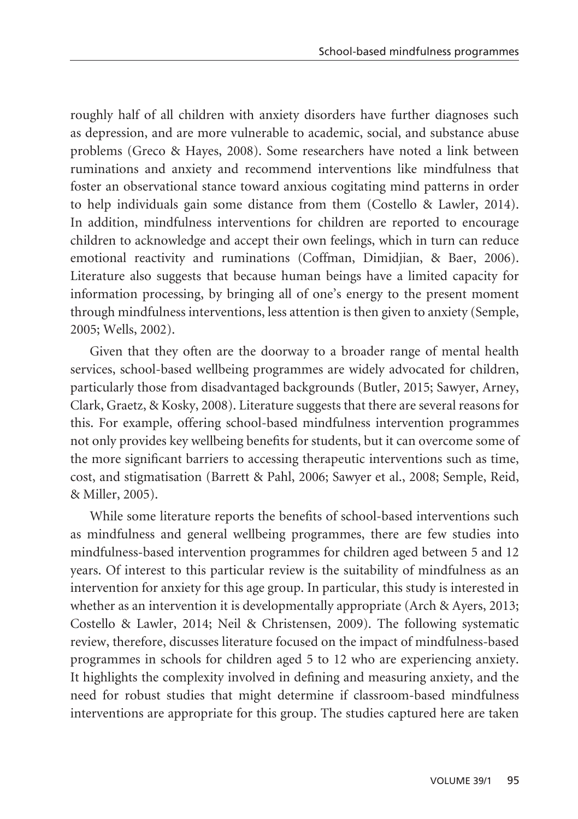roughly half of all children with anxiety disorders have further diagnoses such as depression, and are more vulnerable to academic, social, and substance abuse problems (Greco & Hayes, 2008). Some researchers have noted a link between ruminations and anxiety and recommend interventions like mindfulness that foster an observational stance toward anxious cogitating mind patterns in order to help individuals gain some distance from them (Costello & Lawler, 2014). In addition, mindfulness interventions for children are reported to encourage children to acknowledge and accept their own feelings, which in turn can reduce emotional reactivity and ruminations (Coffman, Dimidjian, & Baer, 2006). Literature also suggests that because human beings have a limited capacity for information processing, by bringing all of one's energy to the present moment through mindfulness interventions, less attention is then given to anxiety (Semple, 2005; Wells, 2002).

Given that they often are the doorway to a broader range of mental health services, school-based wellbeing programmes are widely advocated for children, particularly those from disadvantaged backgrounds (Butler, 2015; Sawyer, Arney, Clark, Graetz, & Kosky, 2008). Literature suggests that there are several reasons for this. For example, offering school-based mindfulness intervention programmes not only provides key wellbeing benefits for students, but it can overcome some of the more significant barriers to accessing therapeutic interventions such as time, cost, and stigmatisation (Barrett & Pahl, 2006; Sawyer et al., 2008; Semple, Reid, & Miller, 2005).

While some literature reports the benefits of school-based interventions such as mindfulness and general wellbeing programmes, there are few studies into mindfulness-based intervention programmes for children aged between 5 and 12 years. Of interest to this particular review is the suitability of mindfulness as an intervention for anxiety for this age group. In particular, this study is interested in whether as an intervention it is developmentally appropriate (Arch & Ayers, 2013; Costello & Lawler, 2014; Neil & Christensen, 2009). The following systematic review, therefore, discusses literature focused on the impact of mindfulness-based programmes in schools for children aged 5 to 12 who are experiencing anxiety. It highlights the complexity involved in defining and measuring anxiety, and the need for robust studies that might determine if classroom-based mindfulness interventions are appropriate for this group. The studies captured here are taken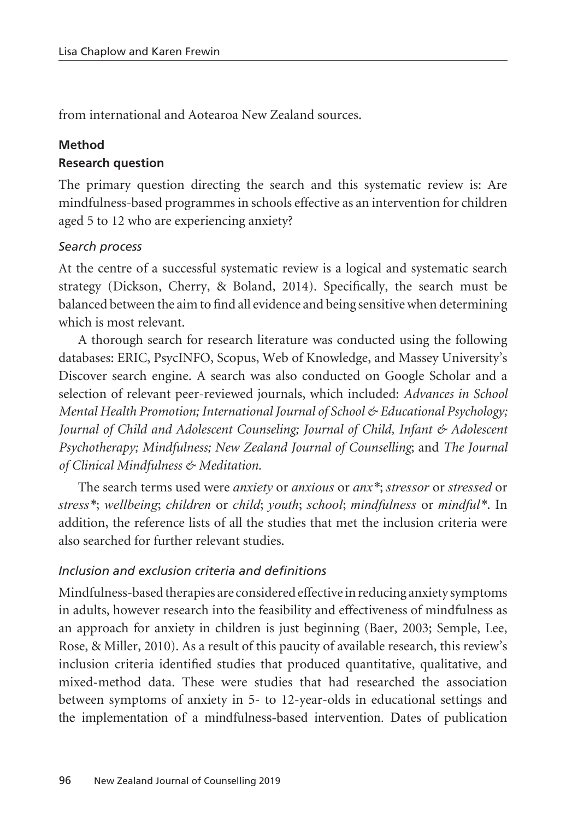from international and Aotearoa New Zealand sources.

### **Method**

### **Research question**

The primary question directing the search and this systematic review is: Are mindfulness-based programmes in schools effective as an intervention for children aged 5 to 12 who are experiencing anxiety?

### *Search process*

At the centre of a successful systematic review is a logical and systematic search strategy (Dickson, Cherry, & Boland, 2014). Specifically, the search must be balanced between the aim to find all evidence and being sensitive when determining which is most relevant.

A thorough search for research literature was conducted using the following databases: ERIC, PsycINFO, Scopus, Web of Knowledge, and Massey University's Discover search engine. A search was also conducted on Google Scholar and a selection of relevant peer-reviewed journals, which included: *Advances in School Mental Health Promotion; International Journal of School & Educational Psychology; Journal of Child and Adolescent Counseling; Journal of Child, Infant & Adolescent Psychotherapy; Mindfulness; New Zealand Journal of Counselling*; and *The Journal of Clinical Mindfulness & Meditation.*

The search terms used were *anxiety* or *anxious* or *anx\**; *stressor* or *stressed* or *stress\**; *wellbeing*; *children* or *child*; *youth*; *school*; *mindfulness* or *mindful\**. In addition, the reference lists of all the studies that met the inclusion criteria were also searched for further relevant studies.

### *Inclusion and exclusion criteria and definitions*

Mindfulness-based therapies are considered effective in reducing anxiety symptoms in adults, however research into the feasibility and effectiveness of mindfulness as an approach for anxiety in children is just beginning (Baer, 2003; Semple, Lee, Rose, & Miller, 2010). As a result of this paucity of available research, this review's inclusion criteria identified studies that produced quantitative, qualitative, and mixed-method data. These were studies that had researched the association between symptoms of anxiety in 5- to 12-year-olds in educational settings and the implementation of a mindfulness-based intervention. Dates of publication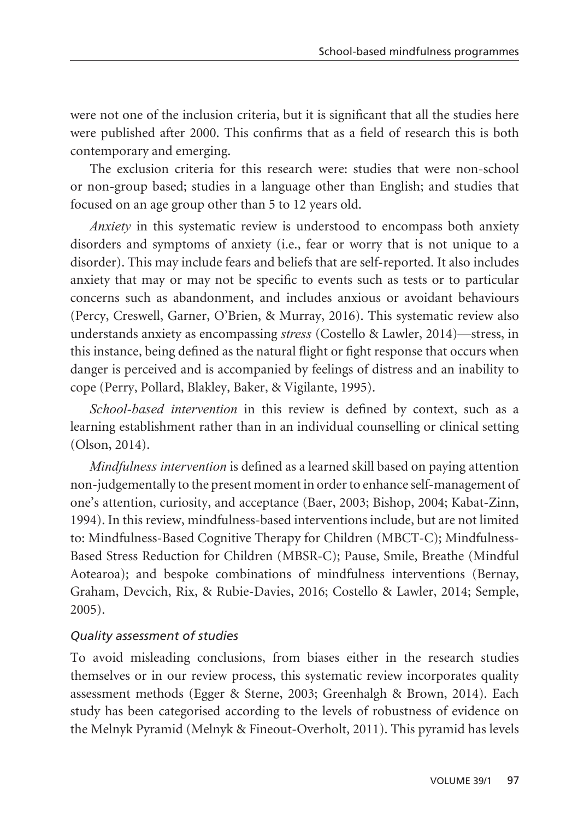were not one of the inclusion criteria, but it is significant that all the studies here were published after 2000. This confirms that as a field of research this is both contemporary and emerging.

The exclusion criteria for this research were: studies that were non-school or non-group based; studies in a language other than English; and studies that focused on an age group other than 5 to 12 years old.

*Anxiety* in this systematic review is understood to encompass both anxiety disorders and symptoms of anxiety (i.e., fear or worry that is not unique to a disorder). This may include fears and beliefs that are self-reported. It also includes anxiety that may or may not be specific to events such as tests or to particular concerns such as abandonment, and includes anxious or avoidant behaviours (Percy, Creswell, Garner, O'Brien, & Murray, 2016). This systematic review also understands anxiety as encompassing *stress* (Costello & Lawler, 2014)—stress, in this instance, being defined as the natural flight or fight response that occurs when danger is perceived and is accompanied by feelings of distress and an inability to cope (Perry, Pollard, Blakley, Baker, & Vigilante, 1995).

*School-based intervention* in this review is defined by context, such as a learning establishment rather than in an individual counselling or clinical setting (Olson, 2014).

*Mindfulness intervention* is defined as a learned skill based on paying attention non-judgementally to the present moment in order to enhance self-management of one's attention, curiosity, and acceptance (Baer, 2003; Bishop, 2004; Kabat-Zinn, 1994). In this review, mindfulness-based interventions include, but are not limited to: Mindfulness-Based Cognitive Therapy for Children (MBCT-C); Mindfulness-Based Stress Reduction for Children (MBSR-C); Pause, Smile, Breathe (Mindful Aotearoa); and bespoke combinations of mindfulness interventions (Bernay, Graham, Devcich, Rix, & Rubie-Davies, 2016; Costello & Lawler, 2014; Semple, 2005).

#### *Quality assessment of studies*

To avoid misleading conclusions, from biases either in the research studies themselves or in our review process, this systematic review incorporates quality assessment methods (Egger & Sterne, 2003; Greenhalgh & Brown, 2014). Each study has been categorised according to the levels of robustness of evidence on the Melnyk Pyramid (Melnyk & Fineout-Overholt, 2011). This pyramid has levels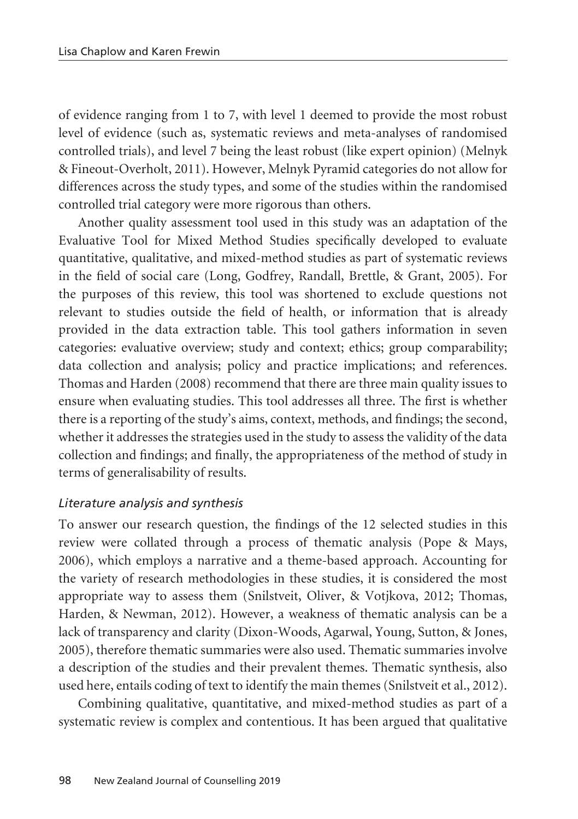of evidence ranging from 1 to 7, with level 1 deemed to provide the most robust level of evidence (such as, systematic reviews and meta-analyses of randomised controlled trials), and level 7 being the least robust (like expert opinion) (Melnyk & Fineout-Overholt, 2011). However, Melnyk Pyramid categories do not allow for differences across the study types, and some of the studies within the randomised controlled trial category were more rigorous than others.

Another quality assessment tool used in this study was an adaptation of the Evaluative Tool for Mixed Method Studies specifically developed to evaluate quantitative, qualitative, and mixed-method studies as part of systematic reviews in the field of social care (Long, Godfrey, Randall, Brettle, & Grant, 2005). For the purposes of this review, this tool was shortened to exclude questions not relevant to studies outside the field of health, or information that is already provided in the data extraction table. This tool gathers information in seven categories: evaluative overview; study and context; ethics; group comparability; data collection and analysis; policy and practice implications; and references. Thomas and Harden (2008) recommend that there are three main quality issues to ensure when evaluating studies. This tool addresses all three. The first is whether there is a reporting of the study's aims, context, methods, and findings; the second, whether it addresses the strategies used in the study to assess the validity of the data collection and findings; and finally, the appropriateness of the method of study in terms of generalisability of results.

#### *Literature analysis and synthesis*

To answer our research question, the findings of the 12 selected studies in this review were collated through a process of thematic analysis (Pope & Mays, 2006), which employs a narrative and a theme-based approach. Accounting for the variety of research methodologies in these studies, it is considered the most appropriate way to assess them (Snilstveit, Oliver, & Votjkova, 2012; Thomas, Harden, & Newman, 2012). However, a weakness of thematic analysis can be a lack of transparency and clarity (Dixon-Woods, Agarwal, Young, Sutton, & Jones, 2005), therefore thematic summaries were also used. Thematic summaries involve a description of the studies and their prevalent themes. Thematic synthesis, also used here, entails coding of text to identify the main themes (Snilstveit et al., 2012).

Combining qualitative, quantitative, and mixed-method studies as part of a systematic review is complex and contentious. It has been argued that qualitative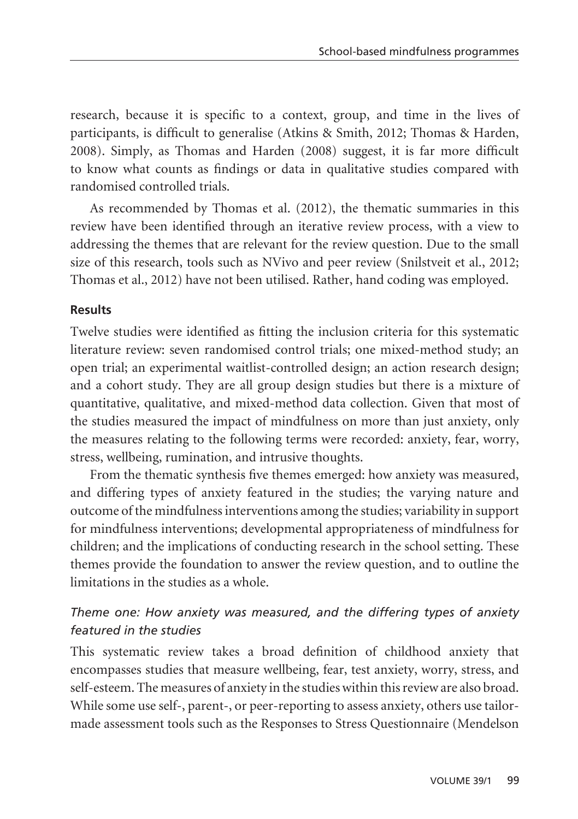research, because it is specific to a context, group, and time in the lives of participants, is difficult to generalise (Atkins & Smith, 2012; Thomas & Harden, 2008). Simply, as Thomas and Harden (2008) suggest, it is far more difficult to know what counts as findings or data in qualitative studies compared with randomised controlled trials.

As recommended by Thomas et al. (2012), the thematic summaries in this review have been identified through an iterative review process, with a view to addressing the themes that are relevant for the review question. Due to the small size of this research, tools such as NVivo and peer review (Snilstveit et al., 2012; Thomas et al., 2012) have not been utilised. Rather, hand coding was employed.

### **Results**

Twelve studies were identified as fitting the inclusion criteria for this systematic literature review: seven randomised control trials; one mixed-method study; an open trial; an experimental waitlist-controlled design; an action research design; and a cohort study. They are all group design studies but there is a mixture of quantitative, qualitative, and mixed-method data collection. Given that most of the studies measured the impact of mindfulness on more than just anxiety, only the measures relating to the following terms were recorded: anxiety, fear, worry, stress, wellbeing, rumination, and intrusive thoughts.

From the thematic synthesis five themes emerged: how anxiety was measured, and differing types of anxiety featured in the studies; the varying nature and outcome of the mindfulness interventions among the studies; variability in support for mindfulness interventions; developmental appropriateness of mindfulness for children; and the implications of conducting research in the school setting. These themes provide the foundation to answer the review question, and to outline the limitations in the studies as a whole.

### *Theme one: How anxiety was measured, and the differing types of anxiety featured in the studies*

This systematic review takes a broad definition of childhood anxiety that encompasses studies that measure wellbeing, fear, test anxiety, worry, stress, and self-esteem. The measures of anxiety in the studies within this review are also broad. While some use self-, parent-, or peer-reporting to assess anxiety, others use tailormade assessment tools such as the Responses to Stress Questionnaire (Mendelson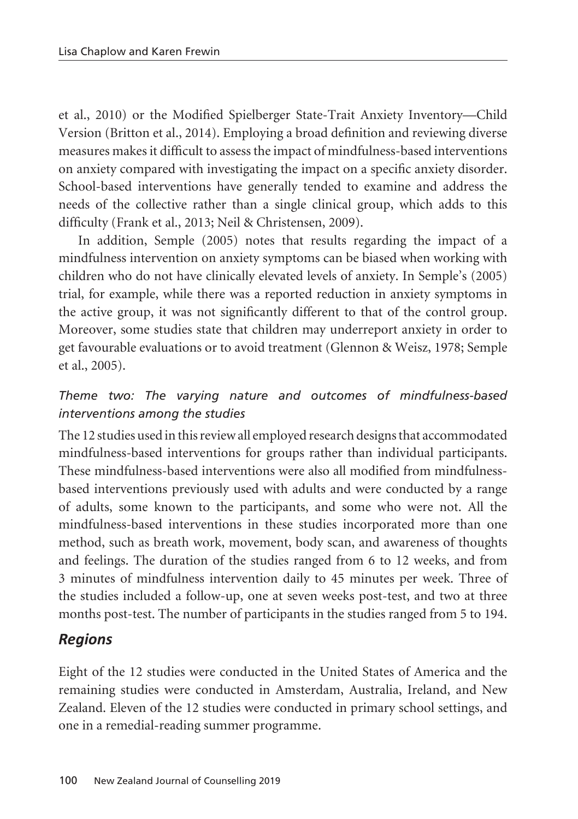et al., 2010) or the Modified Spielberger State-Trait Anxiety Inventory—Child Version (Britton et al., 2014). Employing a broad definition and reviewing diverse measures makes it difficult to assess the impact of mindfulness-based interventions on anxiety compared with investigating the impact on a specific anxiety disorder. School-based interventions have generally tended to examine and address the needs of the collective rather than a single clinical group, which adds to this difficulty (Frank et al., 2013; Neil & Christensen, 2009).

In addition, Semple (2005) notes that results regarding the impact of a mindfulness intervention on anxiety symptoms can be biased when working with children who do not have clinically elevated levels of anxiety. In Semple's (2005) trial, for example, while there was a reported reduction in anxiety symptoms in the active group, it was not significantly different to that of the control group. Moreover, some studies state that children may underreport anxiety in order to get favourable evaluations or to avoid treatment (Glennon & Weisz, 1978; Semple et al., 2005).

### *Theme two: The varying nature and outcomes of mindfulness-based interventions among the studies*

The 12 studies used in this review all employed research designs that accommodated mindfulness-based interventions for groups rather than individual participants. These mindfulness-based interventions were also all modified from mindfulnessbased interventions previously used with adults and were conducted by a range of adults, some known to the participants, and some who were not. All the mindfulness-based interventions in these studies incorporated more than one method, such as breath work, movement, body scan, and awareness of thoughts and feelings. The duration of the studies ranged from 6 to 12 weeks, and from 3 minutes of mindfulness intervention daily to 45 minutes per week. Three of the studies included a follow-up, one at seven weeks post-test, and two at three months post-test. The number of participants in the studies ranged from 5 to 194.

# *Regions*

Eight of the 12 studies were conducted in the United States of America and the remaining studies were conducted in Amsterdam, Australia, Ireland, and New Zealand. Eleven of the 12 studies were conducted in primary school settings, and one in a remedial-reading summer programme.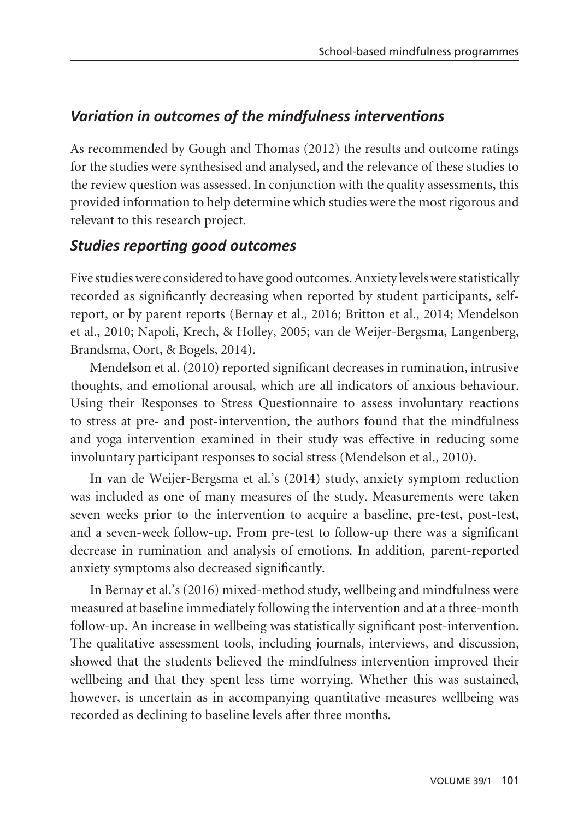# *Variation in outcomes of the mindfulness interventions*

As recommended by Gough and Thomas (2012) the results and outcome ratings for the studies were synthesised and analysed, and the relevance of these studies to the review question was assessed. In conjunction with the quality assessments, this provided information to help determine which studies were the most rigorous and relevant to this research project.

## *Studies reporting good outcomes*

Five studies were considered to have good outcomes. Anxiety levels were statistically recorded as significantly decreasing when reported by student participants, selfreport, or by parent reports (Bernay et al., 2016; Britton et al., 2014; Mendelson et al., 2010; Napoli, Krech, & Holley, 2005; van de Weijer-Bergsma, Langenberg, Brandsma, Oort, & Bogels, 2014).

Mendelson et al. (2010) reported significant decreases in rumination, intrusive thoughts, and emotional arousal, which are all indicators of anxious behaviour. Using their Responses to Stress Questionnaire to assess involuntary reactions to stress at pre- and post-intervention, the authors found that the mindfulness and yoga intervention examined in their study was effective in reducing some involuntary participant responses to social stress (Mendelson et al., 2010).

In van de Weijer-Bergsma et al.'s (2014) study, anxiety symptom reduction was included as one of many measures of the study. Measurements were taken seven weeks prior to the intervention to acquire a baseline, pre-test, post-test, and a seven-week follow-up. From pre-test to follow-up there was a significant decrease in rumination and analysis of emotions. In addition, parent-reported anxiety symptoms also decreased significantly.

In Bernay et al.'s (2016) mixed-method study, wellbeing and mindfulness were measured at baseline immediately following the intervention and at a three-month follow-up. An increase in wellbeing was statistically significant post-intervention. The qualitative assessment tools, including journals, interviews, and discussion, showed that the students believed the mindfulness intervention improved their wellbeing and that they spent less time worrying. Whether this was sustained, however, is uncertain as in accompanying quantitative measures wellbeing was recorded as declining to baseline levels after three months.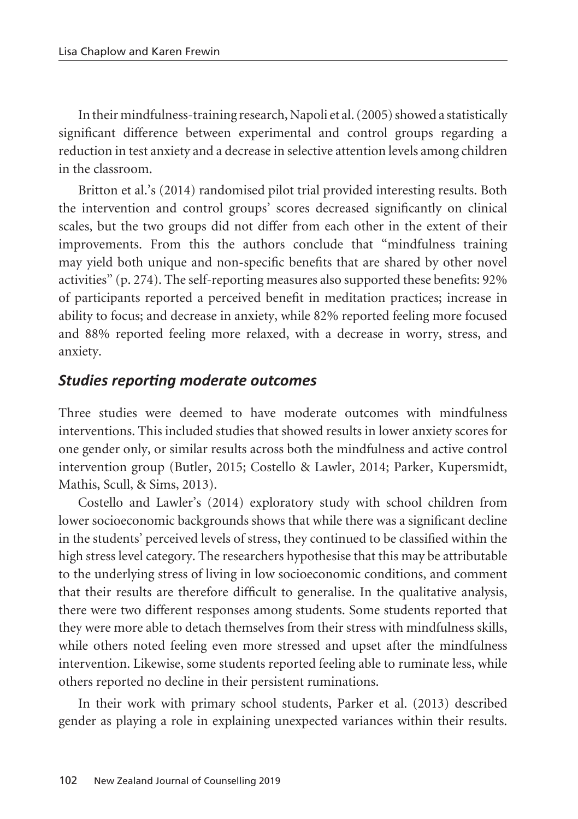In their mindfulness-training research, Napoli et al. (2005) showed a statistically significant difference between experimental and control groups regarding a reduction in test anxiety and a decrease in selective attention levels among children in the classroom.

Britton et al.'s (2014) randomised pilot trial provided interesting results. Both the intervention and control groups' scores decreased significantly on clinical scales, but the two groups did not differ from each other in the extent of their improvements. From this the authors conclude that "mindfulness training may yield both unique and non-specific benefits that are shared by other novel activities" (p. 274). The self-reporting measures also supported these benefits: 92% of participants reported a perceived benefit in meditation practices; increase in ability to focus; and decrease in anxiety, while 82% reported feeling more focused and 88% reported feeling more relaxed, with a decrease in worry, stress, and anxiety.

### *Studies reporting moderate outcomes*

Three studies were deemed to have moderate outcomes with mindfulness interventions. This included studies that showed results in lower anxiety scores for one gender only, or similar results across both the mindfulness and active control intervention group (Butler, 2015; Costello & Lawler, 2014; Parker, Kupersmidt, Mathis, Scull, & Sims, 2013).

Costello and Lawler's (2014) exploratory study with school children from lower socioeconomic backgrounds shows that while there was a significant decline in the students' perceived levels of stress, they continued to be classified within the high stress level category. The researchers hypothesise that this may be attributable to the underlying stress of living in low socioeconomic conditions, and comment that their results are therefore difficult to generalise. In the qualitative analysis, there were two different responses among students. Some students reported that they were more able to detach themselves from their stress with mindfulness skills, while others noted feeling even more stressed and upset after the mindfulness intervention. Likewise, some students reported feeling able to ruminate less, while others reported no decline in their persistent ruminations.

In their work with primary school students, Parker et al. (2013) described gender as playing a role in explaining unexpected variances within their results.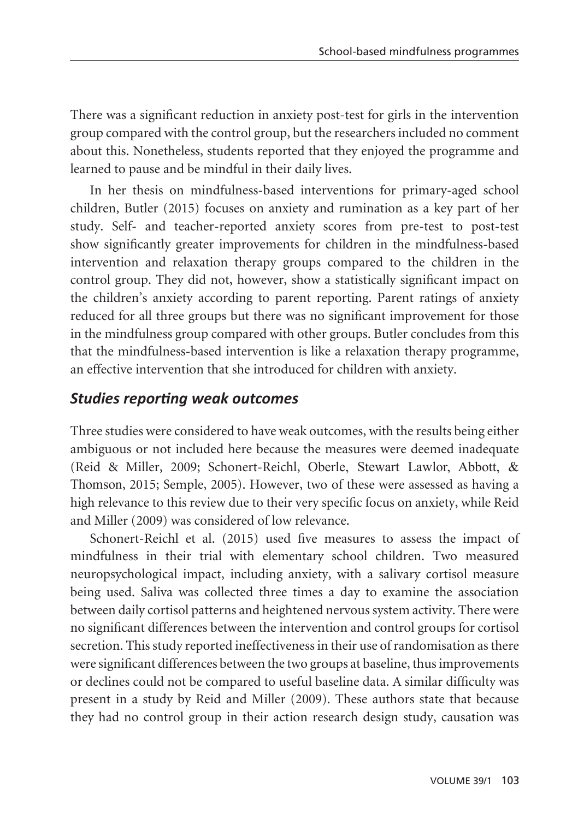There was a significant reduction in anxiety post-test for girls in the intervention group compared with the control group, but the researchers included no comment about this. Nonetheless, students reported that they enjoyed the programme and learned to pause and be mindful in their daily lives.

In her thesis on mindfulness-based interventions for primary-aged school children, Butler (2015) focuses on anxiety and rumination as a key part of her study. Self- and teacher-reported anxiety scores from pre-test to post-test show significantly greater improvements for children in the mindfulness-based intervention and relaxation therapy groups compared to the children in the control group. They did not, however, show a statistically significant impact on the children's anxiety according to parent reporting. Parent ratings of anxiety reduced for all three groups but there was no significant improvement for those in the mindfulness group compared with other groups. Butler concludes from this that the mindfulness-based intervention is like a relaxation therapy programme, an effective intervention that she introduced for children with anxiety.

### *Studies reporting weak outcomes*

Three studies were considered to have weak outcomes, with the results being either ambiguous or not included here because the measures were deemed inadequate (Reid & Miller, 2009; Schonert-Reichl, Oberle, Stewart Lawlor, Abbott, & Thomson, 2015; Semple, 2005). However, two of these were assessed as having a high relevance to this review due to their very specific focus on anxiety, while Reid and Miller (2009) was considered of low relevance.

Schonert-Reichl et al. (2015) used five measures to assess the impact of mindfulness in their trial with elementary school children. Two measured neuropsychological impact, including anxiety, with a salivary cortisol measure being used. Saliva was collected three times a day to examine the association between daily cortisol patterns and heightened nervous system activity. There were no significant differences between the intervention and control groups for cortisol secretion. This study reported ineffectiveness in their use of randomisation as there were significant differences between the two groups at baseline, thus improvements or declines could not be compared to useful baseline data. A similar difficulty was present in a study by Reid and Miller (2009). These authors state that because they had no control group in their action research design study, causation was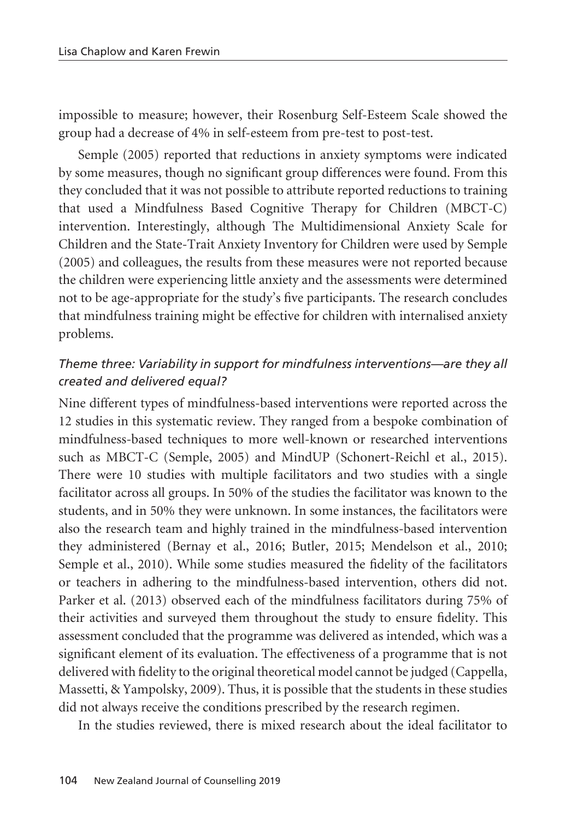impossible to measure; however, their Rosenburg Self-Esteem Scale showed the group had a decrease of 4% in self-esteem from pre-test to post-test.

Semple (2005) reported that reductions in anxiety symptoms were indicated by some measures, though no significant group differences were found. From this they concluded that it was not possible to attribute reported reductions to training that used a Mindfulness Based Cognitive Therapy for Children (MBCT-C) intervention. Interestingly, although The Multidimensional Anxiety Scale for Children and the State-Trait Anxiety Inventory for Children were used by Semple (2005) and colleagues, the results from these measures were not reported because the children were experiencing little anxiety and the assessments were determined not to be age-appropriate for the study's five participants. The research concludes that mindfulness training might be effective for children with internalised anxiety problems.

### *Theme three: Variability in support for mindfulness interventions—are they all created and delivered equal?*

Nine different types of mindfulness-based interventions were reported across the 12 studies in this systematic review. They ranged from a bespoke combination of mindfulness-based techniques to more well-known or researched interventions such as MBCT-C (Semple, 2005) and MindUP (Schonert-Reichl et al., 2015). There were 10 studies with multiple facilitators and two studies with a single facilitator across all groups. In 50% of the studies the facilitator was known to the students, and in 50% they were unknown. In some instances, the facilitators were also the research team and highly trained in the mindfulness-based intervention they administered (Bernay et al., 2016; Butler, 2015; Mendelson et al., 2010; Semple et al., 2010). While some studies measured the fidelity of the facilitators or teachers in adhering to the mindfulness-based intervention, others did not. Parker et al. (2013) observed each of the mindfulness facilitators during 75% of their activities and surveyed them throughout the study to ensure fidelity. This assessment concluded that the programme was delivered as intended, which was a significant element of its evaluation. The effectiveness of a programme that is not delivered with fidelity to the original theoretical model cannot be judged (Cappella, Massetti, & Yampolsky, 2009). Thus, it is possible that the students in these studies did not always receive the conditions prescribed by the research regimen.

In the studies reviewed, there is mixed research about the ideal facilitator to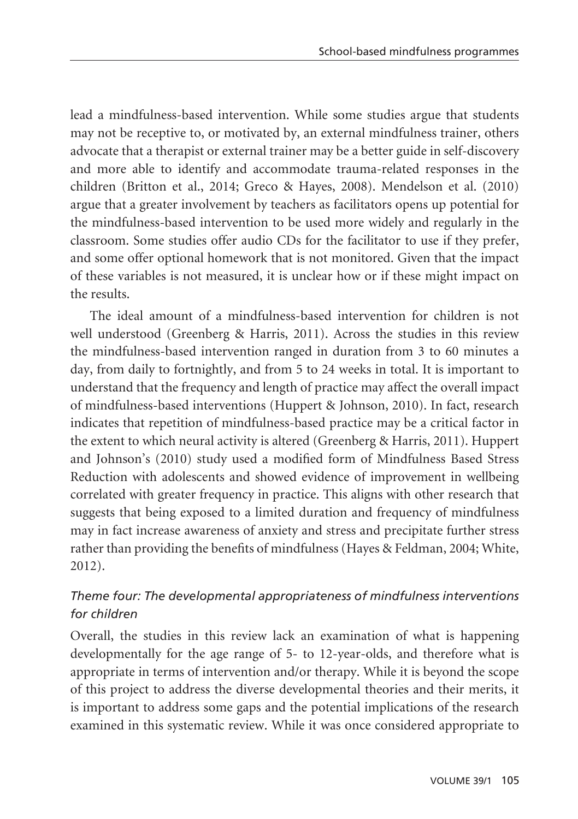lead a mindfulness-based intervention. While some studies argue that students may not be receptive to, or motivated by, an external mindfulness trainer, others advocate that a therapist or external trainer may be a better guide in self-discovery and more able to identify and accommodate trauma-related responses in the children (Britton et al., 2014; Greco & Hayes, 2008). Mendelson et al. (2010) argue that a greater involvement by teachers as facilitators opens up potential for the mindfulness-based intervention to be used more widely and regularly in the classroom. Some studies offer audio CDs for the facilitator to use if they prefer, and some offer optional homework that is not monitored. Given that the impact of these variables is not measured, it is unclear how or if these might impact on the results.

The ideal amount of a mindfulness-based intervention for children is not well understood (Greenberg & Harris, 2011). Across the studies in this review the mindfulness-based intervention ranged in duration from 3 to 60 minutes a day, from daily to fortnightly, and from 5 to 24 weeks in total. It is important to understand that the frequency and length of practice may affect the overall impact of mindfulness-based interventions (Huppert & Johnson, 2010). In fact, research indicates that repetition of mindfulness-based practice may be a critical factor in the extent to which neural activity is altered (Greenberg & Harris, 2011). Huppert and Johnson's (2010) study used a modified form of Mindfulness Based Stress Reduction with adolescents and showed evidence of improvement in wellbeing correlated with greater frequency in practice. This aligns with other research that suggests that being exposed to a limited duration and frequency of mindfulness may in fact increase awareness of anxiety and stress and precipitate further stress rather than providing the benefits of mindfulness (Hayes & Feldman, 2004; White, 2012).

### *Theme four: The developmental appropriateness of mindfulness interventions for children*

Overall, the studies in this review lack an examination of what is happening developmentally for the age range of 5- to 12-year-olds, and therefore what is appropriate in terms of intervention and/or therapy. While it is beyond the scope of this project to address the diverse developmental theories and their merits, it is important to address some gaps and the potential implications of the research examined in this systematic review. While it was once considered appropriate to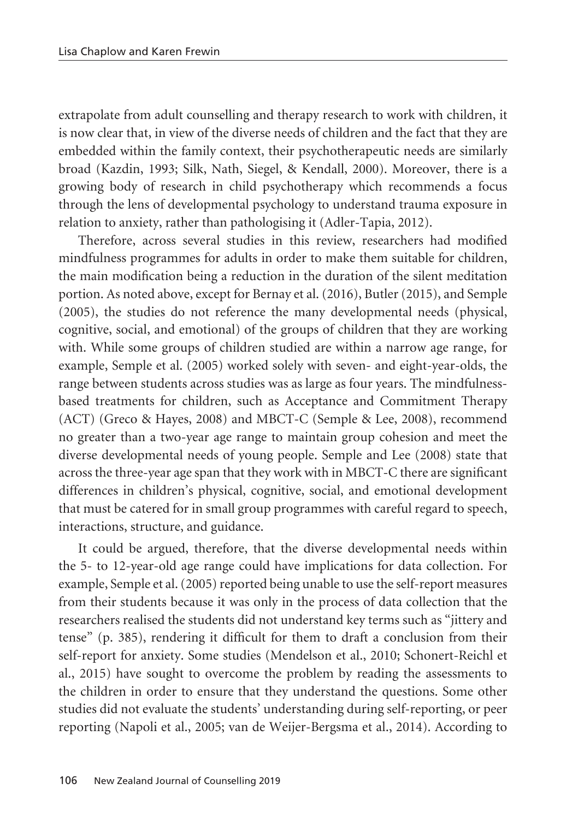extrapolate from adult counselling and therapy research to work with children, it is now clear that, in view of the diverse needs of children and the fact that they are embedded within the family context, their psychotherapeutic needs are similarly broad (Kazdin, 1993; Silk, Nath, Siegel, & Kendall, 2000). Moreover, there is a growing body of research in child psychotherapy which recommends a focus through the lens of developmental psychology to understand trauma exposure in relation to anxiety, rather than pathologising it (Adler-Tapia, 2012).

Therefore, across several studies in this review, researchers had modified mindfulness programmes for adults in order to make them suitable for children, the main modification being a reduction in the duration of the silent meditation portion. As noted above, except for Bernay et al. (2016), Butler (2015), and Semple (2005), the studies do not reference the many developmental needs (physical, cognitive, social, and emotional) of the groups of children that they are working with. While some groups of children studied are within a narrow age range, for example, Semple et al. (2005) worked solely with seven- and eight-year-olds, the range between students across studies was as large as four years. The mindfulnessbased treatments for children, such as Acceptance and Commitment Therapy (ACT) (Greco & Hayes, 2008) and MBCT-C (Semple & Lee, 2008), recommend no greater than a two-year age range to maintain group cohesion and meet the diverse developmental needs of young people. Semple and Lee (2008) state that across the three-year age span that they work with in MBCT-C there are significant differences in children's physical, cognitive, social, and emotional development that must be catered for in small group programmes with careful regard to speech, interactions, structure, and guidance.

It could be argued, therefore, that the diverse developmental needs within the 5- to 12-year-old age range could have implications for data collection. For example, Semple et al. (2005) reported being unable to use the self-report measures from their students because it was only in the process of data collection that the researchers realised the students did not understand key terms such as "jittery and tense" (p. 385), rendering it difficult for them to draft a conclusion from their self-report for anxiety. Some studies (Mendelson et al., 2010; Schonert-Reichl et al., 2015) have sought to overcome the problem by reading the assessments to the children in order to ensure that they understand the questions. Some other studies did not evaluate the students' understanding during self-reporting, or peer reporting (Napoli et al., 2005; van de Weijer-Bergsma et al., 2014). According to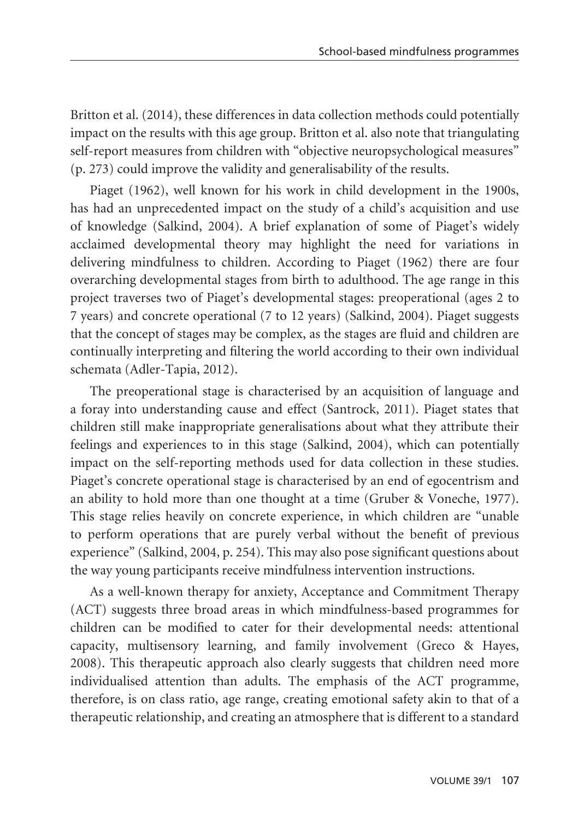Britton et al. (2014), these differences in data collection methods could potentially impact on the results with this age group. Britton et al. also note that triangulating self-report measures from children with "objective neuropsychological measures" (p. 273) could improve the validity and generalisability of the results.

Piaget (1962), well known for his work in child development in the 1900s, has had an unprecedented impact on the study of a child's acquisition and use of knowledge (Salkind, 2004). A brief explanation of some of Piaget's widely acclaimed developmental theory may highlight the need for variations in delivering mindfulness to children. According to Piaget (1962) there are four overarching developmental stages from birth to adulthood. The age range in this project traverses two of Piaget's developmental stages: preoperational (ages 2 to 7 years) and concrete operational (7 to 12 years) (Salkind, 2004). Piaget suggests that the concept of stages may be complex, as the stages are fluid and children are continually interpreting and filtering the world according to their own individual schemata (Adler-Tapia, 2012).

The preoperational stage is characterised by an acquisition of language and a foray into understanding cause and effect (Santrock, 2011). Piaget states that children still make inappropriate generalisations about what they attribute their feelings and experiences to in this stage (Salkind, 2004), which can potentially impact on the self-reporting methods used for data collection in these studies. Piaget's concrete operational stage is characterised by an end of egocentrism and an ability to hold more than one thought at a time (Gruber & Voneche, 1977). This stage relies heavily on concrete experience, in which children are "unable to perform operations that are purely verbal without the benefit of previous experience" (Salkind, 2004, p. 254). This may also pose significant questions about the way young participants receive mindfulness intervention instructions.

As a well-known therapy for anxiety, Acceptance and Commitment Therapy (ACT) suggests three broad areas in which mindfulness-based programmes for children can be modified to cater for their developmental needs: attentional capacity, multisensory learning, and family involvement (Greco & Hayes, 2008). This therapeutic approach also clearly suggests that children need more individualised attention than adults. The emphasis of the ACT programme, therefore, is on class ratio, age range, creating emotional safety akin to that of a therapeutic relationship, and creating an atmosphere that is different to a standard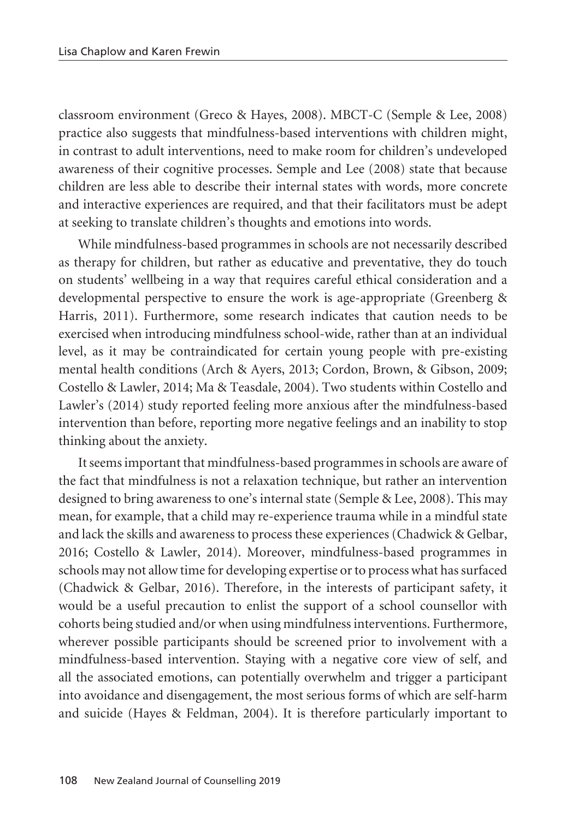classroom environment (Greco & Hayes, 2008). MBCT-C (Semple & Lee, 2008) practice also suggests that mindfulness-based interventions with children might, in contrast to adult interventions, need to make room for children's undeveloped awareness of their cognitive processes. Semple and Lee (2008) state that because children are less able to describe their internal states with words, more concrete and interactive experiences are required, and that their facilitators must be adept at seeking to translate children's thoughts and emotions into words.

While mindfulness-based programmes in schools are not necessarily described as therapy for children, but rather as educative and preventative, they do touch on students' wellbeing in a way that requires careful ethical consideration and a developmental perspective to ensure the work is age-appropriate (Greenberg & Harris, 2011). Furthermore, some research indicates that caution needs to be exercised when introducing mindfulness school-wide, rather than at an individual level, as it may be contraindicated for certain young people with pre-existing mental health conditions (Arch & Ayers, 2013; Cordon, Brown, & Gibson, 2009; Costello & Lawler, 2014; Ma & Teasdale, 2004). Two students within Costello and Lawler's (2014) study reported feeling more anxious after the mindfulness-based intervention than before, reporting more negative feelings and an inability to stop thinking about the anxiety.

It seems important that mindfulness-based programmes in schools are aware of the fact that mindfulness is not a relaxation technique, but rather an intervention designed to bring awareness to one's internal state (Semple & Lee, 2008). This may mean, for example, that a child may re-experience trauma while in a mindful state and lack the skills and awareness to process these experiences (Chadwick & Gelbar, 2016; Costello & Lawler, 2014). Moreover, mindfulness-based programmes in schools may not allow time for developing expertise or to process what has surfaced (Chadwick & Gelbar, 2016). Therefore, in the interests of participant safety, it would be a useful precaution to enlist the support of a school counsellor with cohorts being studied and/or when using mindfulness interventions. Furthermore, wherever possible participants should be screened prior to involvement with a mindfulness-based intervention. Staying with a negative core view of self, and all the associated emotions, can potentially overwhelm and trigger a participant into avoidance and disengagement, the most serious forms of which are self-harm and suicide (Hayes & Feldman, 2004). It is therefore particularly important to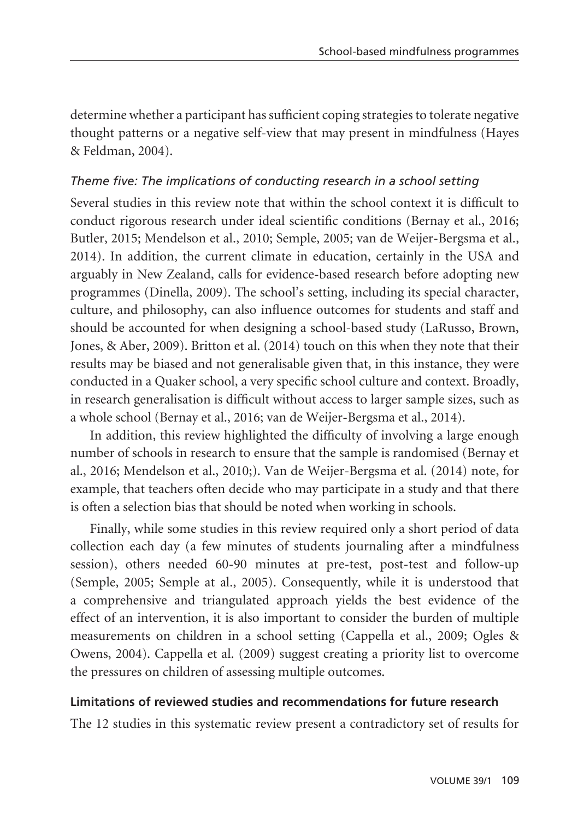determine whether a participant has sufficient coping strategies to tolerate negative thought patterns or a negative self-view that may present in mindfulness (Hayes & Feldman, 2004).

### *Theme five: The implications of conducting research in a school setting*

Several studies in this review note that within the school context it is difficult to conduct rigorous research under ideal scientific conditions (Bernay et al., 2016; Butler, 2015; Mendelson et al., 2010; Semple, 2005; van de Weijer-Bergsma et al., 2014). In addition, the current climate in education, certainly in the USA and arguably in New Zealand, calls for evidence-based research before adopting new programmes (Dinella, 2009). The school's setting, including its special character, culture, and philosophy, can also influence outcomes for students and staff and should be accounted for when designing a school-based study (LaRusso, Brown, Jones, & Aber, 2009). Britton et al. (2014) touch on this when they note that their results may be biased and not generalisable given that, in this instance, they were conducted in a Quaker school, a very specific school culture and context. Broadly, in research generalisation is difficult without access to larger sample sizes, such as a whole school (Bernay et al., 2016; van de Weijer-Bergsma et al., 2014).

In addition, this review highlighted the difficulty of involving a large enough number of schools in research to ensure that the sample is randomised (Bernay et al., 2016; Mendelson et al., 2010;). Van de Weijer-Bergsma et al. (2014) note, for example, that teachers often decide who may participate in a study and that there is often a selection bias that should be noted when working in schools.

Finally, while some studies in this review required only a short period of data collection each day (a few minutes of students journaling after a mindfulness session), others needed 60-90 minutes at pre-test, post-test and follow-up (Semple, 2005; Semple at al., 2005). Consequently, while it is understood that a comprehensive and triangulated approach yields the best evidence of the effect of an intervention, it is also important to consider the burden of multiple measurements on children in a school setting (Cappella et al., 2009; Ogles & Owens, 2004). Cappella et al. (2009) suggest creating a priority list to overcome the pressures on children of assessing multiple outcomes.

#### **Limitations of reviewed studies and recommendations for future research**

The 12 studies in this systematic review present a contradictory set of results for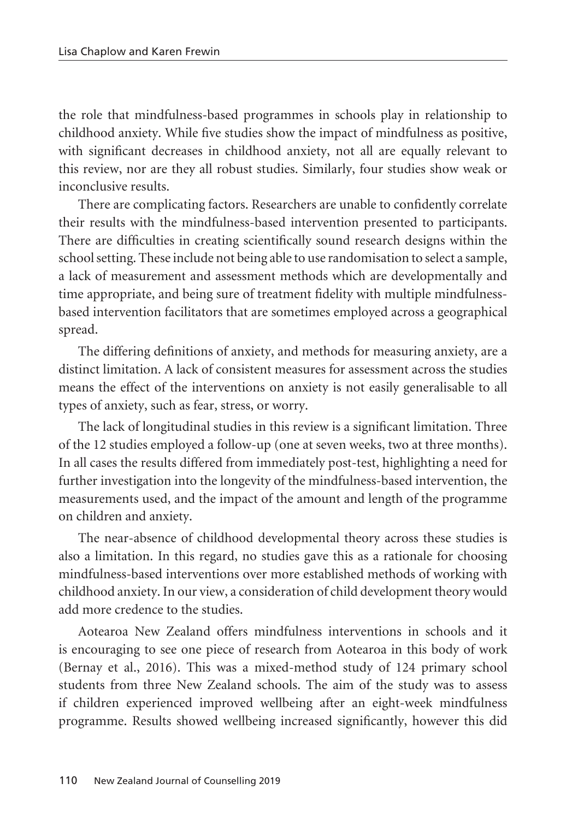the role that mindfulness-based programmes in schools play in relationship to childhood anxiety. While five studies show the impact of mindfulness as positive, with significant decreases in childhood anxiety, not all are equally relevant to this review, nor are they all robust studies. Similarly, four studies show weak or inconclusive results.

There are complicating factors. Researchers are unable to confidently correlate their results with the mindfulness-based intervention presented to participants. There are difficulties in creating scientifically sound research designs within the school setting. These include not being able to use randomisation to select a sample, a lack of measurement and assessment methods which are developmentally and time appropriate, and being sure of treatment fidelity with multiple mindfulnessbased intervention facilitators that are sometimes employed across a geographical spread.

The differing definitions of anxiety, and methods for measuring anxiety, are a distinct limitation. A lack of consistent measures for assessment across the studies means the effect of the interventions on anxiety is not easily generalisable to all types of anxiety, such as fear, stress, or worry.

The lack of longitudinal studies in this review is a significant limitation. Three of the 12 studies employed a follow-up (one at seven weeks, two at three months). In all cases the results differed from immediately post-test, highlighting a need for further investigation into the longevity of the mindfulness-based intervention, the measurements used, and the impact of the amount and length of the programme on children and anxiety.

The near-absence of childhood developmental theory across these studies is also a limitation. In this regard, no studies gave this as a rationale for choosing mindfulness-based interventions over more established methods of working with childhood anxiety. In our view, a consideration of child development theory would add more credence to the studies.

Aotearoa New Zealand offers mindfulness interventions in schools and it is encouraging to see one piece of research from Aotearoa in this body of work (Bernay et al., 2016). This was a mixed-method study of 124 primary school students from three New Zealand schools. The aim of the study was to assess if children experienced improved wellbeing after an eight-week mindfulness programme. Results showed wellbeing increased significantly, however this did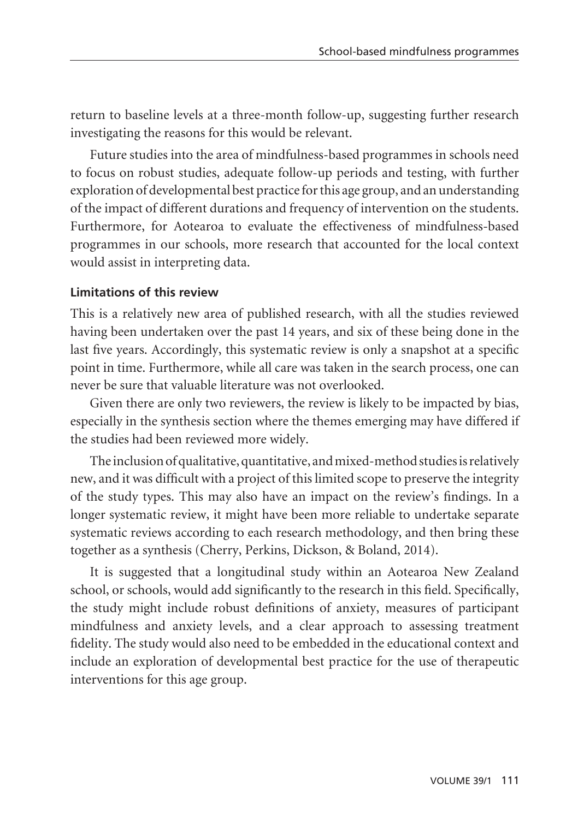return to baseline levels at a three-month follow-up, suggesting further research investigating the reasons for this would be relevant.

Future studies into the area of mindfulness-based programmes in schools need to focus on robust studies, adequate follow-up periods and testing, with further exploration of developmental best practice for this age group, and an understanding of the impact of different durations and frequency of intervention on the students. Furthermore, for Aotearoa to evaluate the effectiveness of mindfulness-based programmes in our schools, more research that accounted for the local context would assist in interpreting data.

#### **Limitations of this review**

This is a relatively new area of published research, with all the studies reviewed having been undertaken over the past 14 years, and six of these being done in the last five years. Accordingly, this systematic review is only a snapshot at a specific point in time. Furthermore, while all care was taken in the search process, one can never be sure that valuable literature was not overlooked.

Given there are only two reviewers, the review is likely to be impacted by bias, especially in the synthesis section where the themes emerging may have differed if the studies had been reviewed more widely.

The inclusion of qualitative, quantitative, and mixed-method studies is relatively new, and it was difficult with a project of this limited scope to preserve the integrity of the study types. This may also have an impact on the review's findings. In a longer systematic review, it might have been more reliable to undertake separate systematic reviews according to each research methodology, and then bring these together as a synthesis (Cherry, Perkins, Dickson, & Boland, 2014).

It is suggested that a longitudinal study within an Aotearoa New Zealand school, or schools, would add significantly to the research in this field. Specifically, the study might include robust definitions of anxiety, measures of participant mindfulness and anxiety levels, and a clear approach to assessing treatment fidelity. The study would also need to be embedded in the educational context and include an exploration of developmental best practice for the use of therapeutic interventions for this age group.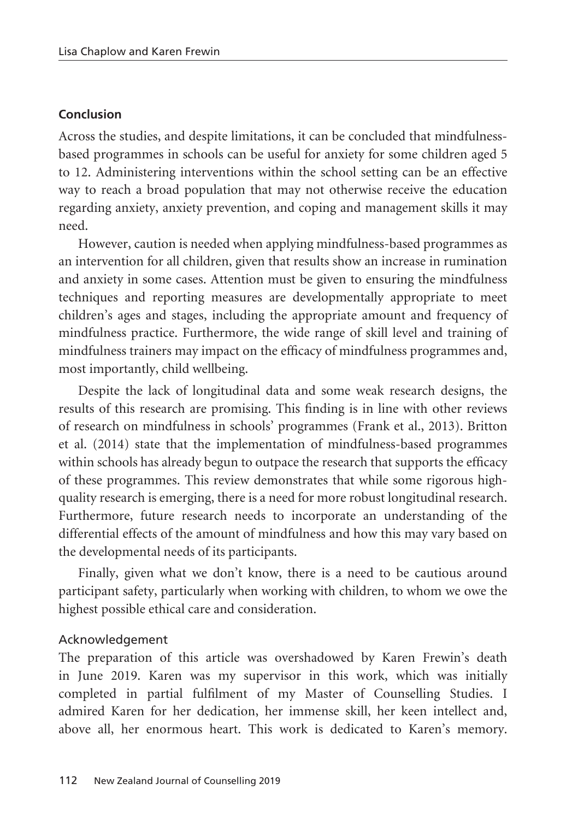#### **Conclusion**

Across the studies, and despite limitations, it can be concluded that mindfulnessbased programmes in schools can be useful for anxiety for some children aged 5 to 12. Administering interventions within the school setting can be an effective way to reach a broad population that may not otherwise receive the education regarding anxiety, anxiety prevention, and coping and management skills it may need.

However, caution is needed when applying mindfulness-based programmes as an intervention for all children, given that results show an increase in rumination and anxiety in some cases. Attention must be given to ensuring the mindfulness techniques and reporting measures are developmentally appropriate to meet children's ages and stages, including the appropriate amount and frequency of mindfulness practice. Furthermore, the wide range of skill level and training of mindfulness trainers may impact on the efficacy of mindfulness programmes and, most importantly, child wellbeing.

Despite the lack of longitudinal data and some weak research designs, the results of this research are promising. This finding is in line with other reviews of research on mindfulness in schools' programmes (Frank et al., 2013). Britton et al. (2014) state that the implementation of mindfulness-based programmes within schools has already begun to outpace the research that supports the efficacy of these programmes. This review demonstrates that while some rigorous highquality research is emerging, there is a need for more robust longitudinal research. Furthermore, future research needs to incorporate an understanding of the differential effects of the amount of mindfulness and how this may vary based on the developmental needs of its participants.

Finally, given what we don't know, there is a need to be cautious around participant safety, particularly when working with children, to whom we owe the highest possible ethical care and consideration.

#### Acknowledgement

The preparation of this article was overshadowed by Karen Frewin's death in June 2019. Karen was my supervisor in this work, which was initially completed in partial fulfilment of my Master of Counselling Studies. I admired Karen for her dedication, her immense skill, her keen intellect and, above all, her enormous heart. This work is dedicated to Karen's memory.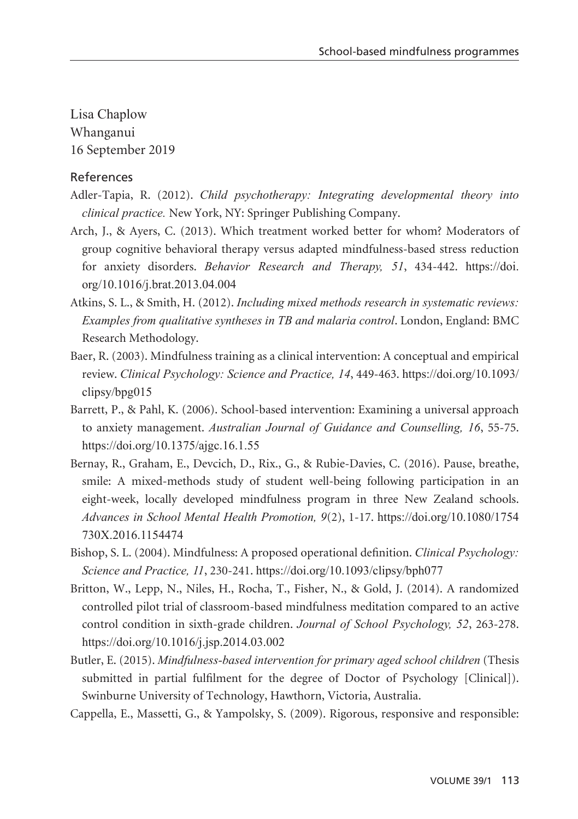Lisa Chaplow Whanganui 16 September 2019

#### References

- Adler-Tapia, R. (2012). *Child psychotherapy: Integrating developmental theory into clinical practice.* New York, NY: Springer Publishing Company.
- Arch, J., & Ayers, C. (2013). Which treatment worked better for whom? Moderators of group cognitive behavioral therapy versus adapted mindfulness-based stress reduction for anxiety disorders. *Behavior Research and Therapy, 51*, 434-442. https://doi. org/10.1016/j.brat.2013.04.004
- Atkins, S. L., & Smith, H. (2012). *Including mixed methods research in systematic reviews: Examples from qualitative syntheses in TB and malaria control*. London, England: BMC Research Methodology.
- Baer, R. (2003). Mindfulness training as a clinical intervention: A conceptual and empirical review. *Clinical Psychology: Science and Practice, 14*, 449-463. https://doi.org/10.1093/ clipsy/bpg015
- Barrett, P., & Pahl, K. (2006). School-based intervention: Examining a universal approach to anxiety management. *Australian Journal of Guidance and Counselling, 16*, 55-75. https://doi.org/10.1375/ajgc.16.1.55
- Bernay, R., Graham, E., Devcich, D., Rix., G., & Rubie-Davies, C. (2016). Pause, breathe, smile: A mixed-methods study of student well-being following participation in an eight-week, locally developed mindfulness program in three New Zealand schools. *Advances in School Mental Health Promotion, 9*(2), 1-17. https://doi.org/10.1080/1754 730X.2016.1154474
- Bishop, S. L. (2004). Mindfulness: A proposed operational definition. *Clinical Psychology: Science and Practice, 11*, 230-241. https://doi.org/10.1093/clipsy/bph077
- Britton, W., Lepp, N., Niles, H., Rocha, T., Fisher, N., & Gold, J. (2014). A randomized controlled pilot trial of classroom-based mindfulness meditation compared to an active control condition in sixth-grade children. *Journal of School Psychology, 52*, 263-278. https://doi.org/10.1016/j.jsp.2014.03.002
- Butler, E. (2015). *Mindfulness-based intervention for primary aged school children* (Thesis submitted in partial fulfilment for the degree of Doctor of Psychology [Clinical]). Swinburne University of Technology, Hawthorn, Victoria, Australia.
- Cappella, E., Massetti, G., & Yampolsky, S. (2009). Rigorous, responsive and responsible: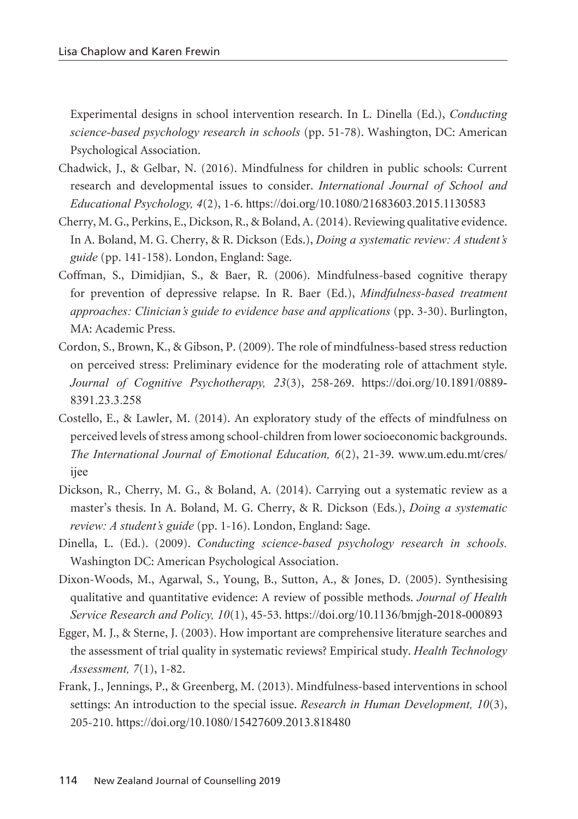Experimental designs in school intervention research. In L. Dinella (Ed.), *Conducting science-based psychology research in schools* (pp. 51-78). Washington, DC: American Psychological Association.

- Chadwick, J., & Gelbar, N. (2016). Mindfulness for children in public schools: Current research and developmental issues to consider. *International Journal of School and Educational Psychology, 4*(2), 1-6. https://doi.org/10.1080/21683603.2015.1130583
- Cherry, M. G., Perkins, E., Dickson, R., & Boland, A. (2014). Reviewing qualitative evidence. In A. Boland, M. G. Cherry, & R. Dickson (Eds.), *Doing a systematic review: A student's guide* (pp. 141-158). London, England: Sage.
- Coffman, S., Dimidjian, S., & Baer, R. (2006). Mindfulness-based cognitive therapy for prevention of depressive relapse. In R. Baer (Ed.), *Mindfulness-based treatment approaches: Clinician's guide to evidence base and applications* (pp. 3-30). Burlington, MA: Academic Press.
- Cordon, S., Brown, K., & Gibson, P. (2009). The role of mindfulness-based stress reduction on perceived stress: Preliminary evidence for the moderating role of attachment style. *Journal of Cognitive Psychotherapy, 23*(3), 258-269. https://doi.org/10.1891/0889- 8391.23.3.258
- Costello, E., & Lawler, M. (2014). An exploratory study of the effects of mindfulness on perceived levels of stress among school-children from lower socioeconomic backgrounds. *The International Journal of Emotional Education, 6*(2), 21-39. www.um.edu.mt/cres/ ijee
- Dickson, R., Cherry, M. G., & Boland, A. (2014). Carrying out a systematic review as a master's thesis. In A. Boland, M. G. Cherry, & R. Dickson (Eds.), *Doing a systematic review: A student's guide* (pp. 1-16). London, England: Sage.
- Dinella, L. (Ed.). (2009). *Conducting science-based psychology research in schools.* Washington DC: American Psychological Association.
- Dixon-Woods, M., Agarwal, S., Young, B., Sutton, A., & Jones, D. (2005). Synthesising qualitative and quantitative evidence: A review of possible methods. *Journal of Health Service Research and Policy, 10*(1), 45-53. https://doi.org/10.1136/bmjgh-2018-000893
- Egger, M. J., & Sterne, J. (2003). How important are comprehensive literature searches and the assessment of trial quality in systematic reviews? Empirical study. *Health Technology Assessment, 7*(1), 1-82.
- Frank, J., Jennings, P., & Greenberg, M. (2013). Mindfulness-based interventions in school settings: An introduction to the special issue. *Research in Human Development, 10*(3), 205-210. https://doi.org/10.1080/15427609.2013.818480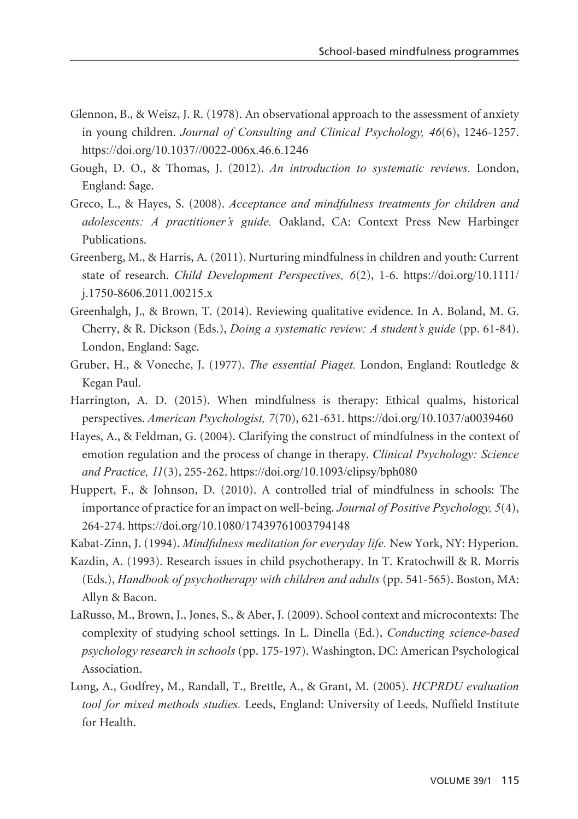- Glennon, B., & Weisz, J. R. (1978). An observational approach to the assessment of anxiety in young children. *Journal of Consulting and Clinical Psychology, 46*(6), 1246-1257. https://doi.org/10.1037//0022-006x.46.6.1246
- Gough, D. O., & Thomas, J. (2012). *An introduction to systematic reviews.* London, England: Sage.
- Greco, L., & Hayes, S. (2008). *Acceptance and mindfulness treatments for children and adolescents: A practitioner's guide.* Oakland, CA: Context Press New Harbinger Publications.
- Greenberg, M., & Harris, A. (2011). Nurturing mindfulness in children and youth: Current state of research. *Child Development Perspectives, 6*(2), 1-6. https://doi.org/10.1111/ j.1750-8606.2011.00215.x
- Greenhalgh, J., & Brown, T. (2014). Reviewing qualitative evidence. In A. Boland, M. G. Cherry, & R. Dickson (Eds.), *Doing a systematic review: A student's guide* (pp. 61-84). London, England: Sage.
- Gruber, H., & Voneche, J. (1977). *The essential Piaget.* London, England: Routledge & Kegan Paul.
- Harrington, A. D. (2015). When mindfulness is therapy: Ethical qualms, historical perspectives. *American Psychologist, 7*(70), 621-631. https://doi.org/10.1037/a0039460
- Hayes, A., & Feldman, G. (2004). Clarifying the construct of mindfulness in the context of emotion regulation and the process of change in therapy. *Clinical Psychology: Science and Practice, 11*(3), 255-262. https://doi.org/10.1093/clipsy/bph080
- Huppert, F., & Johnson, D. (2010). A controlled trial of mindfulness in schools: The importance of practice for an impact on well-being. *Journal of Positive Psychology, 5*(4), 264-274. https://doi.org/10.1080/17439761003794148
- Kabat-Zinn, J. (1994). *Mindfulness meditation for everyday life.* New York, NY: Hyperion.
- Kazdin, A. (1993). Research issues in child psychotherapy. In T. Kratochwill & R. Morris (Eds.), *Handbook of psychotherapy with children and adults* (pp. 541-565). Boston, MA: Allyn & Bacon.
- LaRusso, M., Brown, J., Jones, S., & Aber, J. (2009). School context and microcontexts: The complexity of studying school settings. In L. Dinella (Ed.), *Conducting science-based psychology research in schools* (pp. 175-197). Washington, DC: American Psychological Association.
- Long, A., Godfrey, M., Randall, T., Brettle, A., & Grant, M. (2005). *HCPRDU evaluation tool for mixed methods studies.* Leeds, England: University of Leeds, Nuffield Institute for Health.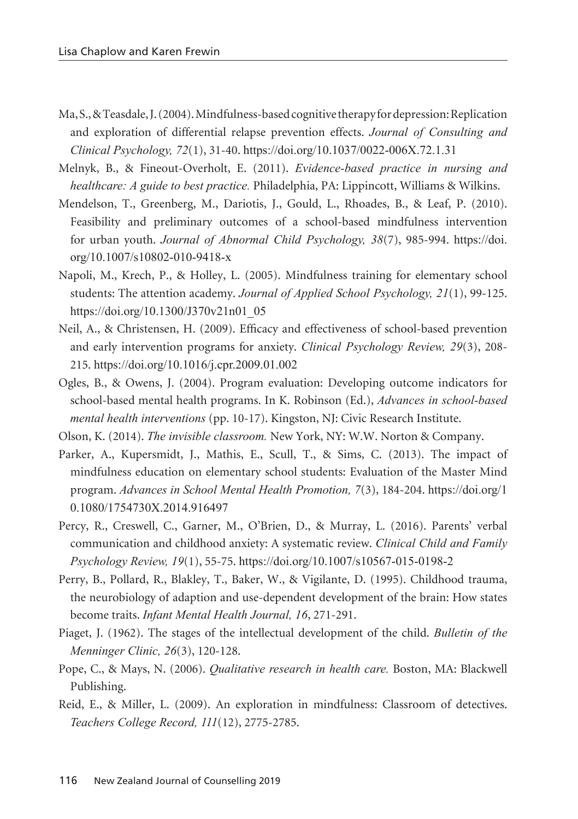- Ma, S., & Teasdale, J. (2004). Mindfulness-based cognitive therapy for depression: Replication and exploration of differential relapse prevention effects. *Journal of Consulting and Clinical Psychology, 72*(1), 31-40. https://doi.org/10.1037/0022-006X.72.1.31
- Melnyk, B., & Fineout-Overholt, E. (2011). *Evidence-based practice in nursing and healthcare: A guide to best practice.* Philadelphia, PA: Lippincott, Williams & Wilkins.
- Mendelson, T., Greenberg, M., Dariotis, J., Gould, L., Rhoades, B., & Leaf, P. (2010). Feasibility and preliminary outcomes of a school-based mindfulness intervention for urban youth. *Journal of Abnormal Child Psychology, 38*(7), 985-994. https://doi. org/10.1007/s10802-010-9418-x
- Napoli, M., Krech, P., & Holley, L. (2005). Mindfulness training for elementary school students: The attention academy. *Journal of Applied School Psychology, 21*(1), 99-125. https://doi.org/10.1300/J370v21n01\_05
- Neil, A., & Christensen, H. (2009). Efficacy and effectiveness of school-based prevention and early intervention programs for anxiety. *Clinical Psychology Review, 29*(3), 208- 215. https://doi.org/10.1016/j.cpr.2009.01.002
- Ogles, B., & Owens, J. (2004). Program evaluation: Developing outcome indicators for school-based mental health programs. In K. Robinson (Ed.), *Advances in school-based mental health interventions* (pp. 10-17). Kingston, NJ: Civic Research Institute.
- Olson, K. (2014). *The invisible classroom.* New York, NY: W.W. Norton & Company.
- Parker, A., Kupersmidt, J., Mathis, E., Scull, T., & Sims, C. (2013). The impact of mindfulness education on elementary school students: Evaluation of the Master Mind program. *Advances in School Mental Health Promotion, 7*(3), 184-204. https://doi.org/1 0.1080/1754730X.2014.916497
- Percy, R., Creswell, C., Garner, M., O'Brien, D., & Murray, L. (2016). Parents' verbal communication and childhood anxiety: A systematic review. *Clinical Child and Family Psychology Review, 19*(1), 55-75. https://doi.org/10.1007/s10567-015-0198-2
- Perry, B., Pollard, R., Blakley, T., Baker, W., & Vigilante, D. (1995). Childhood trauma, the neurobiology of adaption and use-dependent development of the brain: How states become traits. *Infant Mental Health Journal, 16*, 271-291.
- Piaget, J. (1962). The stages of the intellectual development of the child. *Bulletin of the Menninger Clinic, 26*(3), 120-128.
- Pope, C., & Mays, N. (2006). *Qualitative research in health care.* Boston, MA: Blackwell Publishing.
- Reid, E., & Miller, L. (2009). An exploration in mindfulness: Classroom of detectives. *Teachers College Record, 111*(12), 2775-2785.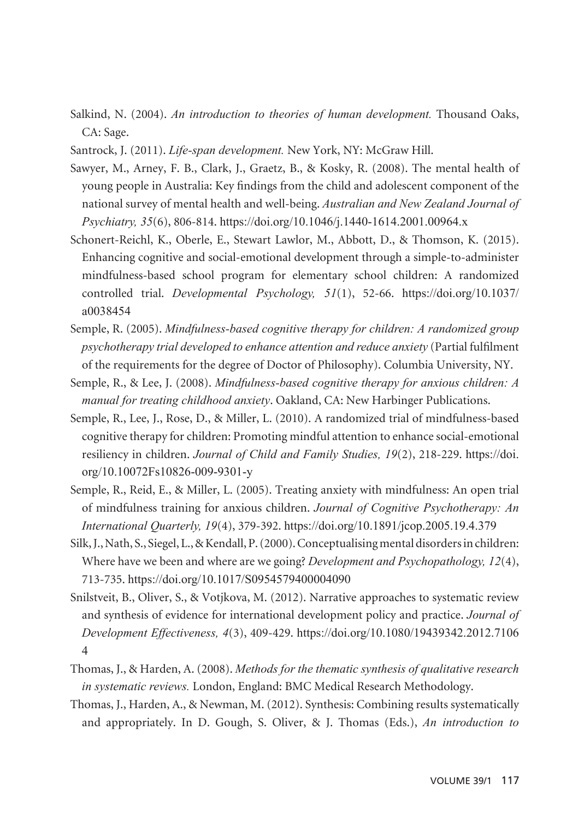- Salkind, N. (2004). *An introduction to theories of human development.* Thousand Oaks, CA: Sage.
- Santrock, J. (2011). *Life-span development.* New York, NY: McGraw Hill.
- Sawyer, M., Arney, F. B., Clark, J., Graetz, B., & Kosky, R. (2008). The mental health of young people in Australia: Key findings from the child and adolescent component of the national survey of mental health and well-being. *Australian and New Zealand Journal of Psychiatry, 35*(6), 806-814. https://doi.org/10.1046/j.1440-1614.2001.00964.x
- Schonert-Reichl, K., Oberle, E., Stewart Lawlor, M., Abbott, D., & Thomson, K. (2015). Enhancing cognitive and social-emotional development through a simple-to-administer mindfulness-based school program for elementary school children: A randomized controlled trial. *Developmental Psychology, 51*(1), 52-66. https://doi.org/10.1037/ a0038454
- Semple, R. (2005). *Mindfulness-based cognitive therapy for children: A randomized group psychotherapy trial developed to enhance attention and reduce anxiety* (Partial fulfilment of the requirements for the degree of Doctor of Philosophy). Columbia University, NY.
- Semple, R., & Lee, J. (2008). *Mindfulness-based cognitive therapy for anxious children: A manual for treating childhood anxiety*. Oakland, CA: New Harbinger Publications.
- Semple, R., Lee, J., Rose, D., & Miller, L. (2010). A randomized trial of mindfulness-based cognitive therapy for children: Promoting mindful attention to enhance social-emotional resiliency in children. *Journal of Child and Family Studies, 19*(2), 218-229. https://doi. org/10.10072Fs10826-009-9301-y
- Semple, R., Reid, E., & Miller, L. (2005). Treating anxiety with mindfulness: An open trial of mindfulness training for anxious children. *Journal of Cognitive Psychotherapy: An International Quarterly, 19*(4), 379-392. https://doi.org/10.1891/jcop.2005.19.4.379
- Silk, J., Nath, S., Siegel, L., & Kendall, P. (2000). Conceptualising mental disorders in children: Where have we been and where are we going? *Development and Psychopathology, 12*(4), 713-735. https://doi.org/10.1017/S0954579400004090
- Snilstveit, B., Oliver, S., & Votjkova, M. (2012). Narrative approaches to systematic review and synthesis of evidence for international development policy and practice. *Journal of Development Effectiveness, 4*(3), 409-429. https://doi.org/10.1080/19439342.2012.7106 4
- Thomas, J., & Harden, A. (2008). *Methods for the thematic synthesis of qualitative research in systematic reviews.* London, England: BMC Medical Research Methodology.
- Thomas, J., Harden, A., & Newman, M. (2012). Synthesis: Combining results systematically and appropriately. In D. Gough, S. Oliver, & J. Thomas (Eds.), *An introduction to*